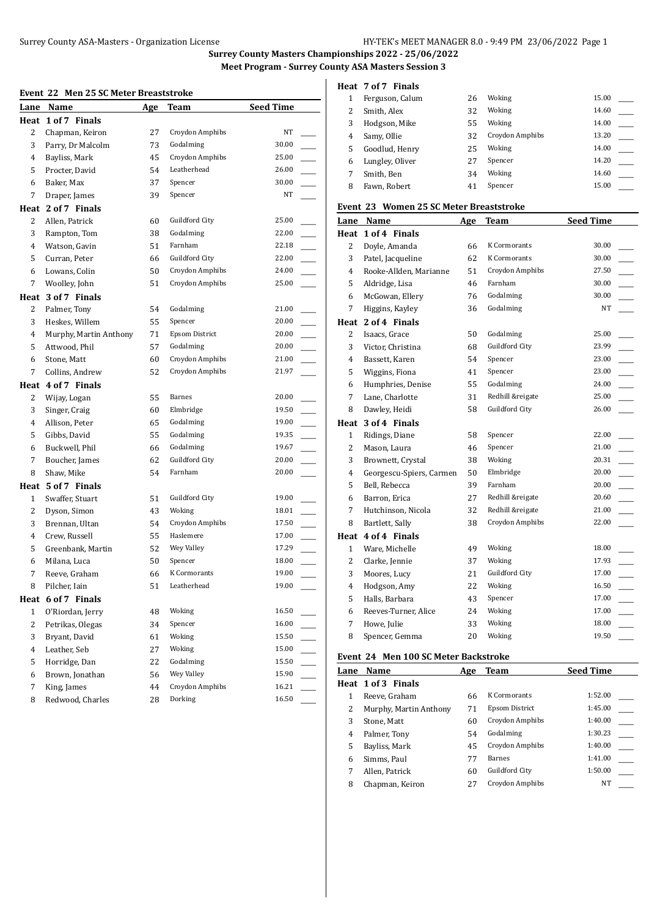# Surrey County ASA-Masters - Organization License HY-TEK's MEET MANAGER 8.0 - 9:49 PM 23/06/2022 Page 1

**Surrey County Masters Championships 2022 - 25/06/2022 Meet Program - Surrey County ASA Masters Session 3**

#### **Event 22 Men 25 SC Meter Breaststroke**

| EVEIIL 44    | Mell 25 SC Meter Dreaststruke |            |                       |                  |  |
|--------------|-------------------------------|------------|-----------------------|------------------|--|
| Lane         | Name                          | <u>Age</u> | Team                  | <b>Seed Time</b> |  |
|              | Heat 1 of 7 Finals            |            |                       |                  |  |
| 2            | Chapman, Keiron               | 27         | Croydon Amphibs       | NT               |  |
| 3            | Parry, Dr Malcolm             | 73         | Godalming             | 30.00            |  |
| 4            | Bayliss, Mark                 | 45         | Croydon Amphibs       | 25.00            |  |
| 5            | Procter, David                | 54         | Leatherhead           | 26.00            |  |
| 6            | Baker, Max                    | 37         | Spencer               | 30.00            |  |
| 7            | Draper, James                 | 39         | Spencer               | NT               |  |
|              | Heat 2 of 7 Finals            |            |                       |                  |  |
| 2            | Allen, Patrick                | 60         | Guildford City        | 25.00            |  |
| 3            | Rampton, Tom                  | 38         | Godalming             | 22.00            |  |
| 4            | Watson, Gavin                 | 51         | Farnham               | 22.18            |  |
| 5            | Curran, Peter                 | 66         | Guildford City        | 22.00            |  |
| 6            | Lowans, Colin                 | 50         | Croydon Amphibs       | 24.00            |  |
| 7            | Woolley, John                 | 51         | Croydon Amphibs       | 25.00            |  |
|              | Heat 3 of 7 Finals            |            |                       |                  |  |
| 2            | Palmer, Tony                  | 54         | Godalming             | 21.00            |  |
| 3            | Heskes, Willem                | 55         | Spencer               | 20.00            |  |
| 4            | Murphy, Martin Anthony        | 71         | <b>Epsom District</b> | 20.00            |  |
| 5            | Attwood, Phil                 | 57         | Godalming             | 20.00            |  |
| 6            | Stone, Matt                   | 60         | Croydon Amphibs       | 21.00            |  |
| 7            | Collins, Andrew               | 52         | Croydon Amphibs       | 21.97            |  |
|              | Heat 4 of 7 Finals            |            |                       |                  |  |
| 2            | Wijay, Logan                  | 55         | Barnes                | 20.00            |  |
| 3            | Singer, Craig                 | 60         | Elmbridge             | 19.50            |  |
| 4            | Allison, Peter                | 65         | Godalming             | 19.00            |  |
| 5            | Gibbs, David                  | 55         | Godalming             | 19.35            |  |
| 6            | Buckwell, Phil                | 66         | Godalming             | 19.67            |  |
| 7            | Boucher, James                | 62         | Guildford City        | 20.00            |  |
| 8            | Shaw, Mike                    | 54         | Farnham               | 20.00            |  |
|              | Heat 5 of 7 Finals            |            |                       |                  |  |
| $\mathbf{1}$ | Swaffer, Stuart               | 51         | Guildford City        | 19.00            |  |
| 2            | Dyson, Simon                  | 43         | Woking                | 18.01            |  |
| 3            | Brennan, Ultan                | 54         | Croydon Amphibs       | 17.50            |  |
| 4            | Crew, Russell                 | 55         | Haslemere             | 17.00            |  |
| 5            | Greenbank, Martin             | 52         | Wey Valley            | 17.29            |  |
| 6            | Milana, Luca                  | 50         | Spencer               | 18.00            |  |
| 7            | Reeve, Graham                 | 66         | K Cormorants          | 19.00            |  |
| 8            | Pilcher, Iain                 | 51         | Leatherhead           | 19.00            |  |
| Heat         | 6 of 7 Finals                 |            |                       |                  |  |
| 1            | O'Riordan, Jerry              | 48         | Woking                | 16.50            |  |
| 2            | Petrikas, Olegas              | 34         | Spencer               | 16.00            |  |
| 3            | Bryant, David                 | 61         | Woking                | 15.50            |  |
| 4            | Leather, Seb                  | 27         | Woking                | 15.00            |  |
| 5            | Horridge, Dan                 | 22         | Godalming             | 15.50            |  |
| 6            | Brown, Jonathan               | 56         | Wey Valley            | 15.90            |  |
| 7            | King, James                   | 44         | Croydon Amphibs       | 16.21            |  |
| 8            | Redwood, Charles              | 28         | Dorking               | 16.50            |  |

## **Heat 7 of 7 Finals**

|   | Ferguson, Calum | 26 | Woking          | 15.00 |  |
|---|-----------------|----|-----------------|-------|--|
|   | Smith, Alex     | 32 | Woking          | 14.60 |  |
| 3 | Hodgson, Mike   | 55 | Woking          | 14.00 |  |
| 4 | Samy, Ollie     | 32 | Croydon Amphibs | 13.20 |  |
| 5 | Goodlud, Henry  | 25 | Woking          | 14.00 |  |
| 6 | Lungley, Oliver | 27 | Spencer         | 14.20 |  |
|   | Smith, Ben      | 34 | Woking          | 14.60 |  |
| 8 | Fawn, Robert    | 41 | Spencer         | 15.00 |  |
|   |                 |    |                 |       |  |

## **Event 23 Women 25 SC Meter Breaststroke**

| Lane           | Name                     | Age | Team             | <b>Seed Time</b> |
|----------------|--------------------------|-----|------------------|------------------|
| Heat           | 1 of 4 Finals            |     |                  |                  |
| 2              | Doyle, Amanda            | 66  | K Cormorants     | 30.00            |
| 3              | Patel, Jacqueline        | 62  | K Cormorants     | 30.00            |
| $\overline{4}$ | Rooke-Allden, Marianne   | 51  | Croydon Amphibs  | 27.50            |
| 5              | Aldridge, Lisa           | 46  | Farnham          | 30.00            |
| 6              | McGowan, Ellery          | 76  | Godalming        | 30.00            |
| 7              | Higgins, Kayley          | 36  | Godalming        | NT               |
|                | Heat 2 of 4 Finals       |     |                  |                  |
| 2              | Isaacs, Grace            | 50  | Godalming        | 25.00            |
| 3              | Victor, Christina        | 68  | Guildford City   | 23.99            |
| 4              | Bassett, Karen           | 54  | Spencer          | 23.00            |
| 5              | Wiggins, Fiona           | 41  | Spencer          | 23.00            |
| 6              | Humphries, Denise        | 55  | Godalming        | 24.00            |
| 7              | Lane, Charlotte          | 31  | Redhill &reigate | 25.00            |
| 8              | Dawley, Heidi            | 58  | Guildford City   | 26.00            |
| Heat           | 3 of 4 Finals            |     |                  |                  |
| $\mathbf{1}$   | Ridings, Diane           | 58  | Spencer          | 22.00            |
| $\overline{c}$ | Mason, Laura             | 46  | Spencer          | 21.00            |
| 3              | Brownett, Crystal        | 38  | Woking           | 20.31            |
| 4              | Georgescu-Spiers, Carmen | 50  | Elmbridge        | 20.00            |
| 5              | Bell, Rebecca            | 39  | Farnham          | 20.00            |
| 6              | Barron, Erica            | 27  | Redhill &reigate | 20.60            |
| 7              | Hutchinson, Nicola       | 32  | Redhill &reigate | 21.00            |
| 8              | Bartlett, Sally          | 38  | Croydon Amphibs  | 22.00            |
| Heat           | 4 of 4 Finals            |     |                  |                  |
| $\mathbf{1}$   | Ware, Michelle           | 49  | Woking           | 18.00            |
| $\overline{c}$ | Clarke, Jennie           | 37  | Woking           | 17.93            |
| 3              | Moores, Lucy             | 21  | Guildford City   | 17.00            |
| 4              | Hodgson, Amy             | 22  | Woking           | 16.50            |
| 5              | Halls, Barbara           | 43  | Spencer          | 17.00            |
| 6              | Reeves-Turner, Alice     | 24  | Woking           | 17.00            |
| 7              | Howe, Julie              | 33  | Woking           | 18.00            |
| 8              | Spencer, Gemma           | 20  | Woking           | 19.50            |

# **Event 24 Men 100 SC Meter Backstroke**

| Lane | Name                   | Age | Team                  | <b>Seed Time</b> |
|------|------------------------|-----|-----------------------|------------------|
|      | Heat 1 of 3 Finals     |     |                       |                  |
|      | Reeve, Graham          | 66  | K Cormorants          | 1:52.00          |
| 2    | Murphy, Martin Anthony | 71  | <b>Epsom District</b> | 1:45.00          |
| 3    | Stone, Matt            | 60  | Croydon Amphibs       | 1:40.00          |
| 4    | Palmer, Tony           | 54  | Godalming             | 1:30.23          |
| 5    | Bayliss, Mark          | 45  | Croydon Amphibs       | 1:40.00          |
| 6    | Simms, Paul            | 77  | <b>Barnes</b>         | 1:41.00          |
|      | Allen, Patrick         | 60  | Guildford City        | 1:50.00          |
| 8    | Chapman, Keiron        | 27  | Croydon Amphibs       | NT               |
|      |                        |     |                       |                  |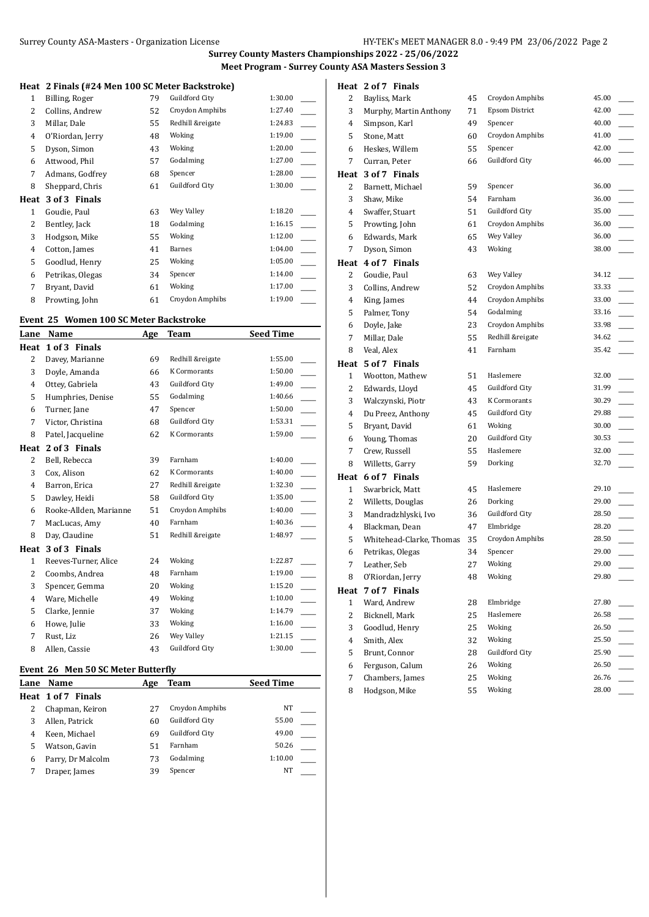## **Surrey County Masters Championships 2022 - 25/06/2022 Meet Program - Surrey County ASA Masters Session 3**

#### **Heat 2 Finals (#24 Men 100 SC Meter Backstroke)**

|              | $\blacksquare$ Than $\blacksquare$ Then 100 burietter buenon one |    |                  |         |  |
|--------------|------------------------------------------------------------------|----|------------------|---------|--|
| $\mathbf{1}$ | Billing, Roger                                                   | 79 | Guildford City   | 1:30.00 |  |
| 2            | Collins, Andrew                                                  | 52 | Croydon Amphibs  | 1:27.40 |  |
| 3            | Millar, Dale                                                     | 55 | Redhill &reigate | 1:24.83 |  |
| 4            | O'Riordan, Jerry                                                 | 48 | Woking           | 1:19.00 |  |
| 5            | Dyson, Simon                                                     | 43 | Woking           | 1:20.00 |  |
| 6            | Attwood, Phil                                                    | 57 | Godalming        | 1:27.00 |  |
| 7            | Admans, Godfrey                                                  | 68 | Spencer          | 1:28.00 |  |
| 8            | Sheppard, Chris                                                  | 61 | Guildford City   | 1:30.00 |  |
| Heat         | 3 of 3 Finals                                                    |    |                  |         |  |
| 1            | Goudie, Paul                                                     | 63 | Wey Valley       | 1:18.20 |  |
| 2            | Bentley, Jack                                                    | 18 | Godalming        | 1:16.15 |  |
| 3            | Hodgson, Mike                                                    | 55 | Woking           | 1:12.00 |  |
| 4            | Cotton, James                                                    | 41 | Barnes           | 1:04.00 |  |
| 5            | Goodlud, Henry                                                   | 25 | Woking           | 1:05.00 |  |
| 6            | Petrikas, Olegas                                                 | 34 | Spencer          | 1:14.00 |  |
|              |                                                                  |    |                  |         |  |
| 7            | Bryant, David                                                    | 61 | Woking           | 1:17.00 |  |
| 8            | Prowting, John                                                   | 61 | Croydon Amphibs  | 1:19.00 |  |

## **Event 25 Women 100 SC Meter Backstroke**

| Lane           | Name                   | Age | <b>Team</b>         | <b>Seed Time</b> |
|----------------|------------------------|-----|---------------------|------------------|
| Heat           | 1 of 3 Finals          |     |                     |                  |
| $\overline{2}$ | Davey, Marianne        | 69  | Redhill &reigate    | 1:55.00          |
| 3              | Doyle, Amanda          | 66  | <b>K</b> Cormorants | 1:50.00          |
| 4              | Ottey, Gabriela        | 43  | Guildford City      | 1:49.00          |
| 5              | Humphries, Denise      | 55  | Godalming           | 1:40.66          |
| 6              | Turner, Jane           | 47  | Spencer             | 1:50.00          |
| 7              | Victor, Christina      | 68  | Guildford City      | 1:53.31          |
| 8              | Patel, Jacqueline      | 62  | <b>K</b> Cormorants | 1:59.00          |
| Heat           | 2 of 3 Finals          |     |                     |                  |
| $\overline{2}$ | Bell, Rebecca          | 39  | Farnham             | 1:40.00          |
| 3              | Cox, Alison            | 62  | <b>K</b> Cormorants | 1:40.00          |
| 4              | Barron, Erica          | 27  | Redhill &reigate    | 1:32.30          |
| 5              | Dawley, Heidi          | 58  | Guildford City      | 1:35.00          |
| 6              | Rooke-Allden, Marianne | 51  | Croydon Amphibs     | 1:40.00          |
| 7              | MacLucas, Amy          | 40  | Farnham             | 1:40.36          |
| 8              | Day, Claudine          | 51  | Redhill &reigate    | 1:48.97          |
| Heat           | 3 of 3 Finals          |     |                     |                  |
| $\mathbf{1}$   | Reeves-Turner, Alice   | 24  | Woking              | 1:22.87          |
| $\overline{2}$ | Coombs, Andrea         | 48  | Farnham             | 1:19.00          |
| 3              | Spencer, Gemma         | 20  | Woking              | 1:15.20          |
| 4              | Ware, Michelle         | 49  | Woking              | 1:10.00          |
| 5              | Clarke, Jennie         | 37  | Woking              | 1:14.79          |
| 6              | Howe, Julie            | 33  | Woking              | 1:16.00          |
| 7              | Rust, Liz              | 26  | Wey Valley          | 1:21.15          |
| 8              | Allen, Cassie          | 43  | Guildford City      | 1:30.00          |
|                |                        |     |                     |                  |

#### **Event 26 Men 50 SC Meter Butterfly**

| Name               | Age | Team            | <b>Seed Time</b> |  |
|--------------------|-----|-----------------|------------------|--|
| Heat 1 of 7 Finals |     |                 |                  |  |
| Chapman, Keiron    | 27  | Croydon Amphibs | NT               |  |
| Allen, Patrick     | 60  | Guildford City  | 55.00            |  |
| Keen. Michael      | 69  | Guildford City  | 49.00            |  |
| Watson, Gavin      | 51  | Farnham         | 50.26            |  |
| Parry, Dr Malcolm  | 73  | Godalming       | 1:10.00          |  |
| Draper, James      | 39  | Spencer         | NT               |  |
|                    |     |                 |                  |  |

| 2            | Bayliss, Mark            | 45 | Croydon Amphibs  | 45.00 |
|--------------|--------------------------|----|------------------|-------|
| 3            | Murphy, Martin Anthony   | 71 | Epsom District   | 42.00 |
| 4            | Simpson, Karl            | 49 | Spencer          | 40.00 |
| 5            | Stone, Matt              | 60 | Croydon Amphibs  | 41.00 |
| 6            | Heskes, Willem           | 55 | Spencer          | 42.00 |
| 7            | Curran, Peter            | 66 | Guildford City   | 46.00 |
|              | Heat 3 of 7 Finals       |    |                  |       |
| 2            | Barnett, Michael         | 59 | Spencer          | 36.00 |
| 3            | Shaw, Mike               | 54 | Farnham          | 36.00 |
| 4            | Swaffer, Stuart          | 51 | Guildford City   | 35.00 |
| 5            | Prowting, John           | 61 | Croydon Amphibs  | 36.00 |
| 6            | Edwards, Mark            | 65 | Wey Valley       | 36.00 |
| 7            | Dyson, Simon             | 43 | Woking           | 38.00 |
| Heat         | 4 of 7 Finals            |    |                  |       |
| 2            | Goudie, Paul             | 63 | Wey Valley       | 34.12 |
| 3            | Collins, Andrew          | 52 | Croydon Amphibs  | 33.33 |
| 4            | King, James              | 44 | Croydon Amphibs  | 33.00 |
| 5            | Palmer, Tony             | 54 | Godalming        | 33.16 |
| 6            | Doyle, Jake              | 23 | Croydon Amphibs  | 33.98 |
| 7            | Millar, Dale             | 55 | Redhill &reigate | 34.62 |
| 8            | Veal, Alex               | 41 | Farnham          | 35.42 |
| Heat         | 5 of 7 Finals            |    |                  |       |
| 1            | Wootton, Mathew          | 51 | Haslemere        | 32.00 |
| 2            | Edwards, Lloyd           | 45 | Guildford City   | 31.99 |
| 3            | Walczynski, Piotr        | 43 | K Cormorants     | 30.29 |
| 4            | Du Preez, Anthony        | 45 | Guildford City   | 29.88 |
| 5            | Bryant, David            | 61 | Woking           | 30.00 |
| 6            | Young, Thomas            | 20 | Guildford City   | 30.53 |
| 7            | Crew, Russell            | 55 | Haslemere        | 32.00 |
| 8            | Willetts, Garry          | 59 | Dorking          | 32.70 |
| Heat         | 6 of 7 Finals            |    |                  |       |
| $\mathbf{1}$ | Swarbrick, Matt          | 45 | Haslemere        | 29.10 |
| 2            | Willetts, Douglas        | 26 | Dorking          | 29.00 |
| 3            | Mandradzhlyski, Ivo      | 36 | Guildford City   | 28.50 |
| 4            | Blackman, Dean           | 47 | Elmbridge        | 28.20 |
| 5            | Whitehead-Clarke, Thomas | 35 | Croydon Amphibs  | 28.50 |
| 6            | Petrikas, Olegas         | 34 | Spencer          | 29.00 |
| 7            | Leather, Seb             | 27 | Woking           | 29.00 |
| 8            | O'Riordan, Jerry         | 48 | Woking           | 29.80 |
| Heat         | 7 of 7 Finals            |    |                  |       |
| $\mathbf{1}$ | Ward, Andrew             | 28 | Elmbridge        | 27.80 |
| 2            | Bicknell, Mark           | 25 | Haslemere        | 26.58 |
| 3            | Goodlud, Henry           | 25 | Woking           | 26.50 |
| 4            | Smith, Alex              | 32 | Woking           | 25.50 |
| 5            | Brunt, Connor            | 28 | Guildford City   | 25.90 |
| 6            | Ferguson, Calum          | 26 | Woking           | 26.50 |
| 7            | Chambers, James          | 25 | Woking           | 26.76 |
| 8            | Hodgson, Mike            | 55 | Woking           | 28.00 |

## **Heat 2 of 7 Finals**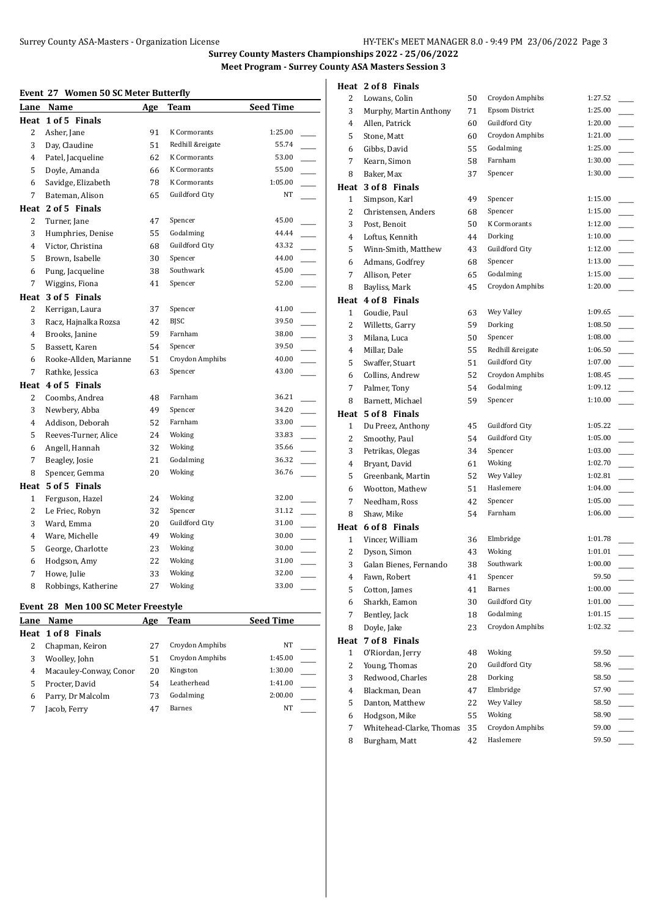**Surrey County Masters Championships 2022 - 25/06/2022 Meet Program - Surrey County ASA Masters Session 3**

#### **Event 27 Women 50 SC Meter Butterfly**

| <u>nicht mi</u> | women 50 50 meter Butterny |     |                  |                  |  |
|-----------------|----------------------------|-----|------------------|------------------|--|
|                 | Lane Name                  | Age | Team             | <b>Seed Time</b> |  |
|                 | Heat 1 of 5 Finals         |     |                  |                  |  |
| 2               | Asher, Jane                | 91  | K Cormorants     | 1:25.00          |  |
| 3               | Day, Claudine              | 51  | Redhill &reigate | 55.74            |  |
| 4               | Patel, Jacqueline          | 62  | K Cormorants     | 53.00            |  |
| 5               | Doyle, Amanda              | 66  | K Cormorants     | 55.00            |  |
| 6               | Savidge, Elizabeth         | 78  | K Cormorants     | 1:05.00          |  |
| 7               | Bateman, Alison            | 65  | Guildford City   | NT               |  |
|                 | Heat 2 of 5 Finals         |     |                  |                  |  |
| 2               | Turner, Jane               | 47  | Spencer          | 45.00            |  |
| 3               | Humphries, Denise          | 55  | Godalming        | 44.44            |  |
| $\overline{4}$  | Victor, Christina          | 68  | Guildford City   | 43.32            |  |
| 5               | Brown, Isabelle            | 30  | Spencer          | 44.00            |  |
| 6               | Pung, Jacqueline           | 38  | Southwark        | 45.00            |  |
| 7               | Wiggins, Fiona             | 41  | Spencer          | 52.00            |  |
| Heat            | 3 of 5 Finals              |     |                  |                  |  |
| 2               | Kerrigan, Laura            | 37  | Spencer          | 41.00            |  |
| 3               | Racz, Hajnalka Rozsa       | 42  | <b>BJSC</b>      | 39.50            |  |
| $\overline{4}$  | Brooks, Janine             | 59  | Farnham          | 38.00            |  |
| 5               | Bassett, Karen             | 54  | Spencer          | 39.50            |  |
| 6               | Rooke-Allden, Marianne     | 51  | Croydon Amphibs  | 40.00            |  |
| 7               | Rathke, Jessica            | 63  | Spencer          | 43.00            |  |
|                 | Heat 4 of 5 Finals         |     |                  |                  |  |
| 2               | Coombs, Andrea             | 48  | Farnham          | 36.21            |  |
| 3               | Newbery, Abba              | 49  | Spencer          | 34.20            |  |
| 4               | Addison, Deborah           | 52  | Farnham          | 33.00            |  |
| 5               | Reeves-Turner, Alice       | 24  | Woking           | 33.83            |  |
| 6               | Angell, Hannah             | 32  | Woking           | 35.66            |  |
| 7               | Beagley, Josie             | 21  | Godalming        | 36.32            |  |
| 8               | Spencer, Gemma             | 20  | Woking           | 36.76            |  |
| Heat            | 5 of 5 Finals              |     |                  |                  |  |
| $\mathbf{1}$    | Ferguson, Hazel            | 24  | Woking           | 32.00            |  |
| 2               | Le Friec, Robyn            | 32  | Spencer          | 31.12            |  |
| 3               | Ward, Emma                 | 20  | Guildford City   | 31.00            |  |
| 4               | Ware, Michelle             | 49  | Woking           | 30.00            |  |
| 5               | George, Charlotte          | 23  | Woking           | 30.00            |  |
| 6               | Hodgson, Amy               | 22  | Woking           | 31.00            |  |
| 7               | Howe, Julie                | 33  | Woking           | 32.00            |  |
| 8               | Robbings, Katherine        | 27  | Woking           | 33.00            |  |

# **Event 28 Men 100 SC Meter Freestyle**

| Lane | Name                   | Age | Team            | <b>Seed Time</b> |  |
|------|------------------------|-----|-----------------|------------------|--|
|      | Heat 1 of 8 Finals     |     |                 |                  |  |
|      | Chapman, Keiron        | 27  | Croydon Amphibs | NT               |  |
|      | Woolley, John          | 51  | Croydon Amphibs | 1:45.00          |  |
| 4    | Macauley-Conway, Conor | 20  | Kingston        | 1:30.00          |  |
|      | Procter, David         | 54  | Leatherhead     | 1:41.00          |  |
| 6    | Parry, Dr Malcolm      | 73  | Godalming       | 2:00.00          |  |
|      | Jacob, Ferry           | 47  | Barnes          | NΤ               |  |

|                | Heat 2 of 8 Finals       |    |                       |         |
|----------------|--------------------------|----|-----------------------|---------|
| 2              | Lowans, Colin            | 50 | Croydon Amphibs       | 1:27.52 |
| 3              | Murphy, Martin Anthony   | 71 | <b>Epsom District</b> | 1:25.00 |
| 4              | Allen, Patrick           | 60 | Guildford City        | 1:20.00 |
| 5              | Stone, Matt              | 60 | Croydon Amphibs       | 1:21.00 |
| 6              | Gibbs, David             | 55 | Godalming             | 1:25.00 |
| 7              | Kearn, Simon             | 58 | Farnham               | 1:30.00 |
| 8              | Baker, Max               | 37 | Spencer               | 1:30.00 |
|                | Heat 3 of 8 Finals       |    |                       |         |
| 1              | Simpson, Karl            | 49 | Spencer               | 1:15.00 |
| 2              | Christensen, Anders      | 68 | Spencer               | 1:15.00 |
| 3              | Post, Benoit             | 50 | K Cormorants          | 1:12.00 |
| 4              | Loftus, Kennith          | 44 | Dorking               | 1:10.00 |
| 5              | Winn-Smith, Matthew      | 43 | Guildford City        | 1:12.00 |
| 6              | Admans, Godfrey          | 68 | Spencer               | 1:13.00 |
| 7              | Allison, Peter           | 65 | Godalming             | 1:15.00 |
| 8              | Bayliss, Mark            | 45 | Croydon Amphibs       | 1:20.00 |
|                | Heat 4 of 8 Finals       |    |                       |         |
| 1              | Goudie, Paul             | 63 | Wey Valley            | 1:09.65 |
| 2              | Willetts, Garry          | 59 | Dorking               | 1:08.50 |
| 3              | Milana, Luca             | 50 | Spencer               | 1:08.00 |
| 4              | Millar, Dale             | 55 | Redhill &reigate      | 1:06.50 |
| 5              | Swaffer, Stuart          | 51 | Guildford City        | 1:07.00 |
| 6              | Collins, Andrew          | 52 | Croydon Amphibs       | 1:08.45 |
| 7              | Palmer, Tony             | 54 | Godalming             | 1:09.12 |
| 8              | Barnett, Michael         | 59 | Spencer               | 1:10.00 |
|                | Heat 5 of 8 Finals       |    |                       |         |
| $\mathbf{1}$   | Du Preez, Anthony        | 45 | Guildford City        | 1:05.22 |
| 2              | Smoothy, Paul            | 54 | Guildford City        | 1:05.00 |
| 3              | Petrikas, Olegas         | 34 | Spencer               | 1:03.00 |
| 4              | Bryant, David            | 61 | Woking                | 1:02.70 |
| 5              | Greenbank, Martin        | 52 | Wey Valley            | 1:02.81 |
| 6              | Wootton, Mathew          | 51 | Haslemere             | 1:04.00 |
| 7              | Needham, Ross            | 42 | Spencer               | 1:05.00 |
| 8              | Shaw, Mike               | 54 | Farnham               | 1:06.00 |
|                | Heat 6 of 8 Finals       |    |                       |         |
| $\mathbf{1}$   | Vincer, William          | 36 | Elmbridge             | 1:01.78 |
| 2              | Dyson, Simon             | 43 | Woking                | 1:01.01 |
| 3              | Galan Bienes, Fernando   | 38 | Southwark             | 1:00.00 |
| 4              | Fawn, Robert             | 41 | Spencer               | 59.50   |
| 5              | Cotton, James            | 41 | Barnes                | 1:00.00 |
| 6              | Sharkh, Eamon            | 30 | Guildford City        | 1:01.00 |
| 7              | Bentley, Jack            | 18 | Godalming             | 1:01.15 |
| 8              | Doyle, Jake              | 23 | Croydon Amphibs       | 1:02.32 |
| Heat           | 7 of 8 Finals            |    |                       |         |
| $\mathbf{1}$   | O'Riordan, Jerry         | 48 | Woking                | 59.50   |
| 2              | Young, Thomas            | 20 | Guildford City        | 58.96   |
| 3              | Redwood, Charles         | 28 | Dorking               | 58.50   |
| 4              | Blackman, Dean           | 47 | Elmbridge             | 57.90   |
| 5              | Danton, Matthew          | 22 | Wey Valley            | 58.50   |
| 6              | Hodgson, Mike            | 55 | Woking                | 58.90   |
| $\overline{7}$ | Whitehead-Clarke, Thomas | 35 | Croydon Amphibs       | 59.00   |
| 8              | Burgham, Matt            | 42 | Haslemere             | 59.50   |
|                |                          |    |                       |         |